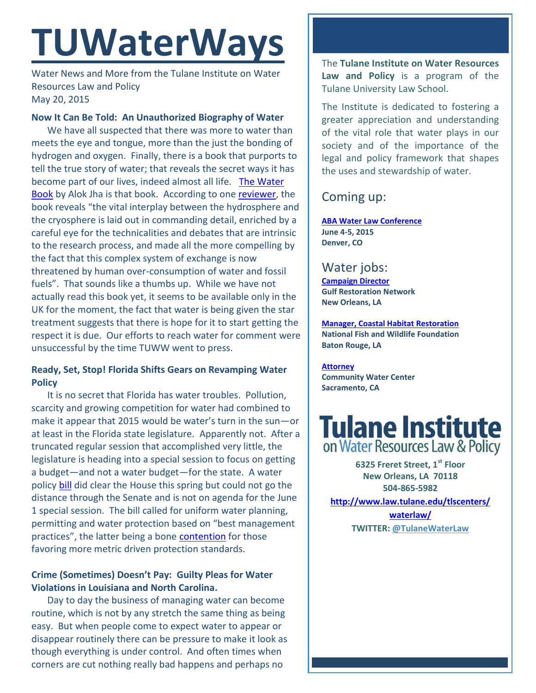# **TUWaterWays**

Water News and More from the Tulane Institute on Water Resources Law and Policy May 20, 2015

## **Now It Can Be Told: An Unauthorized Biography of Water**

We have all suspected that there was more to water than meets the eye and tongue, more than the just the bonding of hydrogen and oxygen. Finally, there is a book that purports to tell the true story of water; that reveals the secret ways it has become part of our lives, indeed almost all life. [The Water](http://bookshop.theguardian.com/catalog/product/view/id/281950/)  [Book](http://bookshop.theguardian.com/catalog/product/view/id/281950/) by Alok Jha is that book. According to one [reviewer,](http://www.theguardian.com/science/occams-corner/2015/may/18/water-surprise) the book reveals "the vital interplay between the hydrosphere and the cryosphere is laid out in commanding detail, enriched by a careful eye for the technicalities and debates that are intrinsic to the research process, and made all the more compelling by the fact that this complex system of exchange is now threatened by human over-consumption of water and fossil fuels". That sounds like a thumbs up. While we have not actually read this book yet, it seems to be available only in the UK for the moment, the fact that water is being given the star treatment suggests that there is hope for it to start getting the respect it is due. Our efforts to reach water for comment were unsuccessful by the time TUWW went to press.

# **Ready, Set, Stop! Florida Shifts Gears on Revamping Water Policy**

It is no secret that Florida has water troubles. Pollution, scarcity and growing competition for water had combined to make it appear that 2015 would be water's turn in the sun—or at least in the Florida state legislature. Apparently not. After a truncated regular session that accomplished very little, the legislature is heading into a special session to focus on getting a budget—and not a water budget—for the state. A water policy [bill](http://www.myfloridahouse.gov/Sections/Bills/billsdetail.aspx?BillId=53813) did clear the House this spring but could not go the distance through the Senate and is not on agenda for the June 1 special session. The bill called for uniform water planning, permitting and water protection based on "best management practices", the latter being a bone [contention](http://www.tampabay.com/news/environment/water/water-law-rewrite-once-speaker-crisafullis-top-priority-postponed-another/2230094) for those favoring more metric driven protection standards.

# **Crime (Sometimes) Doesn't Pay: Guilty Pleas for Water Violations in Louisiana and North Carolina.**

Day to day the business of managing water can become routine, which is not by any stretch the same thing as being easy. But when people come to expect water to appear or disappear routinely there can be pressure to make it look as though everything is under control. And often times when corners are cut nothing really bad happens and perhaps no

The **Tulane Institute on Water Resources Law and Policy** is a program of the Tulane University Law School.

The Institute is dedicated to fostering a greater appreciation and understanding of the vital role that water plays in our society and of the importance of the legal and policy framework that shapes the uses and stewardship of water.

# Coming up:

**[ABA Water Law Conference](http://shop.americanbar.org/ebus/ABAEventsCalendar/EventDetails.aspx?productId=134956288) June 4-5, 2015 Denver, CO**

# Water jobs:

**[Campaign Director](http://healthygulf.org/who-we-are/jobs/campaign-director) Gulf Restoration Network New Orleans, LA**

**[Manager, Coastal Habitat Restoration](http://www.nfwf.org/whoweare/careers/Pages/manager-coastal.aspx#.VUorEo5Vikp) National Fish and Wildlife Foundation Baton Rouge, LA**

**[Attorney](http://www.communitywatercenter.org/career_opportunities) Community Water Center Sacramento, CA**



**6325 Freret Street, 1st Floor New Orleans, LA 70118 504-865-5982** 

**[http://www.law.tulane.edu/tlscenters/](http://www.law.tulane.edu/tlscenters/waterlaw/)**

**[waterlaw/](http://www.law.tulane.edu/tlscenters/waterlaw/) TWITTER: [@TulaneWaterLaw](http://www.twitter.com/TulaneWaterLaw)**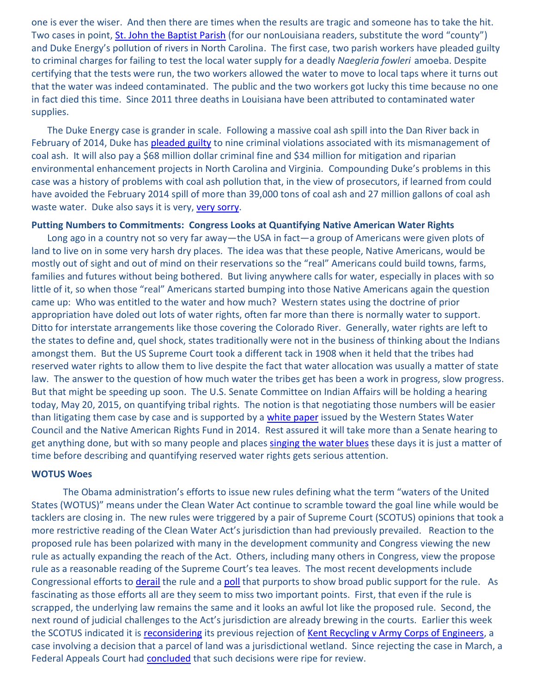one is ever the wiser. And then there are times when the results are tragic and someone has to take the hit. Two cases in point, [St. John the Baptist Parish](http://www.wwl.com/pages/21506348.php?) (for our nonLouisiana readers, substitute the word "county") and Duke Energy's pollution of rivers in North Carolina. The first case, two parish workers have pleaded guilty to criminal charges for failing to test the local water supply for a deadly *Naegleria fowleri* amoeba. Despite certifying that the tests were run, the two workers allowed the water to move to local taps where it turns out that the water was indeed contaminated. The public and the two workers got lucky this time because no one in fact died this time. Since 2011 three deaths in Louisiana have been attributed to contaminated water supplies.

The Duke Energy case is grander in scale. Following a massive coal ash spill into the Dan River back in February of 2014, Duke has [pleaded guilty](http://www.chron.com/business/energy/article/Duke-pleads-guilty-in-federal-court-for-coal-ash-6263354.php) to nine criminal violations associated with its mismanagement of coal ash. It will also pay a \$68 million dollar criminal fine and \$34 million for mitigation and riparian environmental enhancement projects in North Carolina and Virginia. Compounding Duke's problems in this case was a history of problems with coal ash pollution that, in the view of prosecutors, if learned from could have avoided the February 2014 spill of more than 39,000 tons of coal ash and 27 million gallons of coal ash waste water. Duke also says it is very, [very sorry.](http://bigstory.ap.org/article/coal-ash-not-yet-fully-contained-nc-river)

#### **Putting Numbers to Commitments: Congress Looks at Quantifying Native American Water Rights**

Long ago in a country not so very far away—the USA in fact—a group of Americans were given plots of land to live on in some very harsh dry places. The idea was that these people, Native Americans, would be mostly out of sight and out of mind on their reservations so the "real" Americans could build towns, farms, families and futures without being bothered. But living anywhere calls for water, especially in places with so little of it, so when those "real" Americans started bumping into those Native Americans again the question came up: Who was entitled to the water and how much? Western states using the doctrine of prior appropriation have doled out lots of water rights, often far more than there is normally water to support. Ditto for interstate arrangements like those covering the Colorado River. Generally, water rights are left to the states to define and, quel shock, states traditionally were not in the business of thinking about the Indians amongst them. But the US Supreme Court took a different tack in 1908 when it held that the tribes had reserved water rights to allow them to live despite the fact that water allocation was usually a matter of state law. The answer to the question of how much water the tribes get has been a work in progress, slow progress. But that might be speeding up soon. The U.S. Senate Committee on Indian Affairs will be holding a hearing today, May 20, 2015, on quantifying tribal rights. The notion is that negotiating those numbers will be easier than litigating them case by case and is supported by a [white paper](http://www.eenews.net/assets/2015/05/18/document_daily_02.pdf) issued by the Western States Water Council and the Native American Rights Fund in 2014. Rest assured it will take more than a Senate hearing to get anything done, but with so many people and places singing [the water blues](https://www.youtube.com/watch?v=3dHaMV_eXko) these days it is just a matter of time before describing and quantifying reserved water rights gets serious attention.

#### **WOTUS Woes**

The Obama administration's efforts to issue new rules defining what the term "waters of the United States (WOTUS)" means under the Clean Water Act continue to scramble toward the goal line while would be tacklers are closing in. The new rules were triggered by a pair of Supreme Court (SCOTUS) opinions that took a more restrictive reading of the Clean Water Act's jurisdiction than had previously prevailed. Reaction to the proposed rule has been polarized with many in the development community and Congress viewing the new rule as actually expanding the reach of the Act. Others, including many others in Congress, view the propose rule as a reasonable reading of the Supreme Court's tea leaves. The most recent developments include Congressional efforts to *derail* the rule and a [poll](http://www.eenews.net/assets/2015/05/18/document_pm_01.pdf) that purports to show broad public support for the rule. As fascinating as those efforts all are they seem to miss two important points. First, that even if the rule is scrapped, the underlying law remains the same and it looks an awful lot like the proposed rule. Second, the next round of judicial challenges to the Act's jurisdiction are already brewing in the courts. Earlier this week the SCOTUS indicated it is [reconsidering](http://www.supremecourt.gov/orders/courtorders/051815zor_a86c.pdf) its previous rejection of [Kent Recycling v Army Corps of Engineers,](http://www.ca5.uscourts.gov/opinions%5Cpub%5C13/13-30262-CV0.pdf) a case involving a decision that a parcel of land was a jurisdictional wetland. Since rejecting the case in March, a Federal Appeals Court had [concluded](http://blog.pacificlegal.org/wp/wp-content/uploads/2015/04/Hawkes-Decision.pdf) that such decisions were ripe for review.